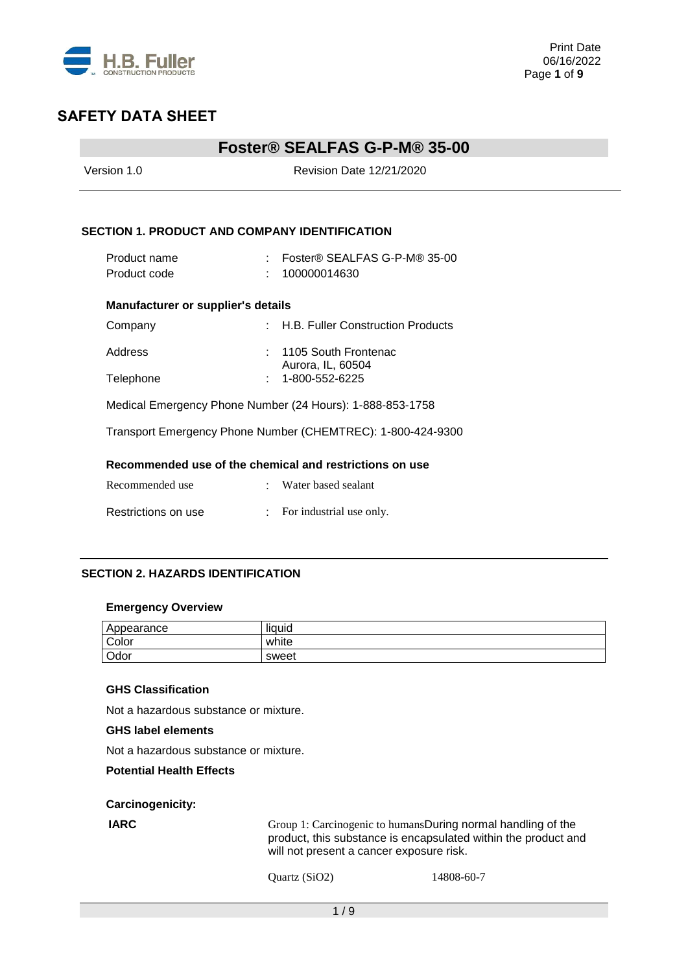

### **Foster® SEALFAS G-P-M® 35-00**

| Version 1.0                                   |  | Revision Date 12/21/2020                                    |  |  |
|-----------------------------------------------|--|-------------------------------------------------------------|--|--|
|                                               |  |                                                             |  |  |
| SECTION 1. PRODUCT AND COMPANY IDENTIFICATION |  |                                                             |  |  |
| Product name                                  |  | : Foster® SEALFAS G-P-M® 35-00                              |  |  |
| Product code                                  |  | 100000014630                                                |  |  |
| <b>Manufacturer or supplier's details</b>     |  |                                                             |  |  |
| Company                                       |  | : H.B. Fuller Construction Products                         |  |  |
| Address                                       |  | $: 1105$ South Frontenac                                    |  |  |
| Telephone                                     |  | Aurora, IL, 60504<br>1-800-552-6225                         |  |  |
|                                               |  | Medical Emergency Phone Number (24 Hours): 1-888-853-1758   |  |  |
|                                               |  | Transport Emergency Phone Number (CHEMTREC): 1-800-424-9300 |  |  |
|                                               |  | Recommended use of the chemical and restrictions on use     |  |  |
| Recommended use                               |  | · Water based sealant                                       |  |  |
| Restrictions on use                           |  | For industrial use only.                                    |  |  |
|                                               |  |                                                             |  |  |

#### **SECTION 2. HAZARDS IDENTIFICATION**

#### **Emergency Overview**

| Appearance | <br>liauid |
|------------|------------|
| Color      | white      |
| Odor       | sweet      |

### **GHS Classification**

Not a hazardous substance or mixture.

### **GHS label elements**

Not a hazardous substance or mixture.

### **Potential Health Effects**

**Carcinogenicity:**

**IARC** Group 1: Carcinogenic to humansDuring normal handling of the product, this substance is encapsulated within the product and will not present a cancer exposure risk.

```
Quartz (SiO2) 14808-60-7
```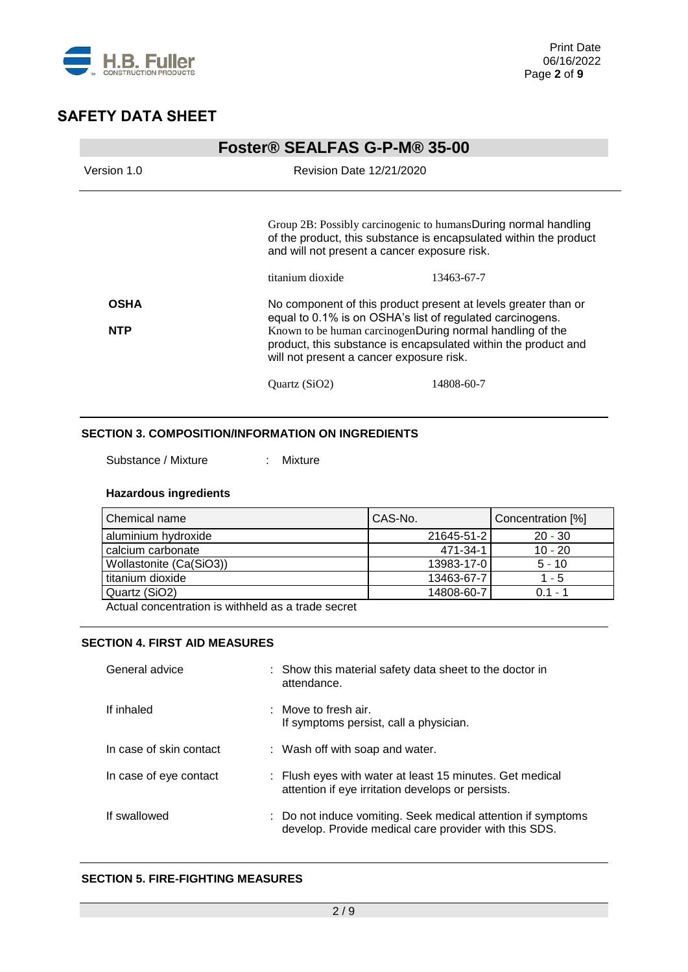

|             | Foster <sup>®</sup> SEALFAS G-P-M® 35-00                                                                                            |                                                                                                                                                                         |  |  |
|-------------|-------------------------------------------------------------------------------------------------------------------------------------|-------------------------------------------------------------------------------------------------------------------------------------------------------------------------|--|--|
| Version 1.0 | Revision Date 12/21/2020                                                                                                            |                                                                                                                                                                         |  |  |
|             | Group 2B: Possibly carcinogenic to humansDuring normal handling<br>and will not present a cancer exposure risk.<br>titanium dioxide | of the product, this substance is encapsulated within the product<br>13463-67-7                                                                                         |  |  |
| <b>OSHA</b> | No component of this product present at levels greater than or<br>equal to 0.1% is on OSHA's list of regulated carcinogens.         |                                                                                                                                                                         |  |  |
| <b>NTP</b>  |                                                                                                                                     | Known to be human carcinogenDuring normal handling of the<br>product, this substance is encapsulated within the product and<br>will not present a cancer exposure risk. |  |  |
|             | Quartz (SiO2)                                                                                                                       | 14808-60-7                                                                                                                                                              |  |  |

### **SECTION 3. COMPOSITION/INFORMATION ON INGREDIENTS**

Substance / Mixture : Mixture

### **Hazardous ingredients**

| Chemical name           | CAS-No.    | Concentration [%] |
|-------------------------|------------|-------------------|
| aluminium hydroxide     | 21645-51-2 | $20 - 30$         |
| calcium carbonate       | 471-34-1   | $10 - 20$         |
| Wollastonite (Ca(SiO3)) | 13983-17-0 | $5 - 10$          |
| titanium dioxide        | 13463-67-7 | $1 - 5$           |
| Quartz (SiO2)           | 14808-60-7 | $0.1 - 1$         |

Actual concentration is withheld as a trade secret

### **SECTION 4. FIRST AID MEASURES**

| General advice          | : Show this material safety data sheet to the doctor in<br>attendance.                                                |
|-------------------------|-----------------------------------------------------------------------------------------------------------------------|
| If inhaled              | $\therefore$ Move to fresh air.<br>If symptoms persist, call a physician.                                             |
| In case of skin contact | : Wash off with soap and water.                                                                                       |
| In case of eye contact  | : Flush eyes with water at least 15 minutes. Get medical<br>attention if eye irritation develops or persists.         |
| If swallowed            | : Do not induce vomiting. Seek medical attention if symptoms<br>develop. Provide medical care provider with this SDS. |

#### **SECTION 5. FIRE-FIGHTING MEASURES**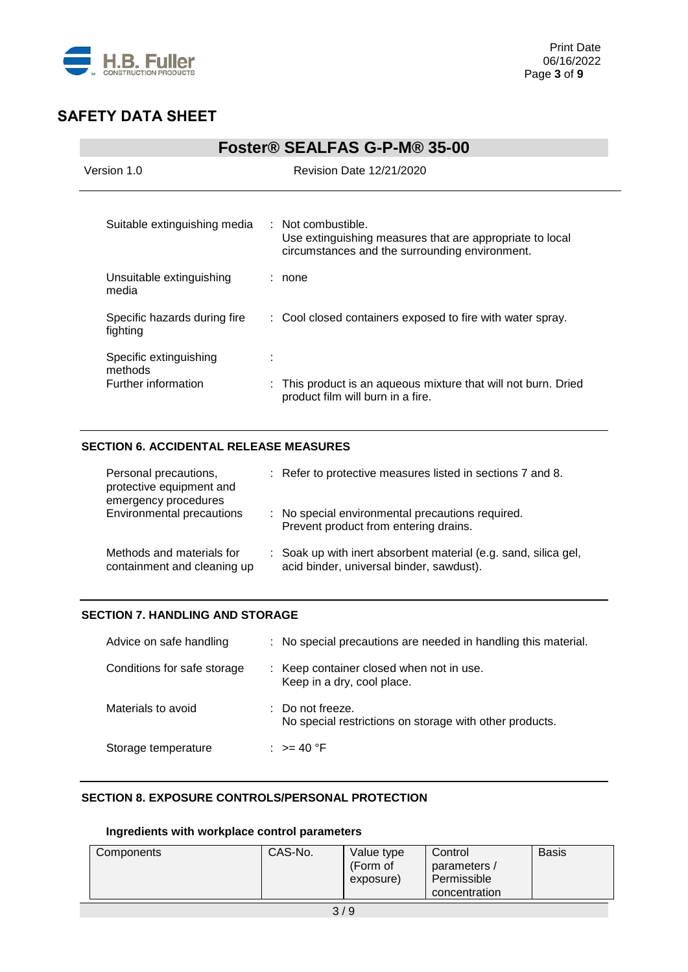

| Foster® SEALFAS G-P-M® 35-00                             |                                                                                                                                  |  |  |
|----------------------------------------------------------|----------------------------------------------------------------------------------------------------------------------------------|--|--|
| Version 1.0                                              | <b>Revision Date 12/21/2020</b>                                                                                                  |  |  |
| Suitable extinguishing media                             | : Not combustible.<br>Use extinguishing measures that are appropriate to local<br>circumstances and the surrounding environment. |  |  |
| Unsuitable extinguishing<br>media                        | : none                                                                                                                           |  |  |
| Specific hazards during fire<br>fighting                 | : Cool closed containers exposed to fire with water spray.                                                                       |  |  |
| Specific extinguishing<br>methods<br>Further information | : This product is an aqueous mixture that will not burn. Dried<br>product film will burn in a fire.                              |  |  |

### **SECTION 6. ACCIDENTAL RELEASE MEASURES**

| Personal precautions,<br>protective equipment and<br>emergency procedures | : Refer to protective measures listed in sections 7 and 8.                                                  |
|---------------------------------------------------------------------------|-------------------------------------------------------------------------------------------------------------|
| Environmental precautions                                                 | : No special environmental precautions required.<br>Prevent product from entering drains.                   |
| Methods and materials for<br>containment and cleaning up                  | : Soak up with inert absorbent material (e.g. sand, silica gel,<br>acid binder, universal binder, sawdust). |

### **SECTION 7. HANDLING AND STORAGE**

| Advice on safe handling     | : No special precautions are needed in handling this material.            |
|-----------------------------|---------------------------------------------------------------------------|
| Conditions for safe storage | : Keep container closed when not in use.<br>Keep in a dry, cool place.    |
| Materials to avoid          | Do not freeze.<br>No special restrictions on storage with other products. |
| Storage temperature         | : $>= 40 °F$                                                              |

### **SECTION 8. EXPOSURE CONTROLS/PERSONAL PROTECTION**

### **Ingredients with workplace control parameters**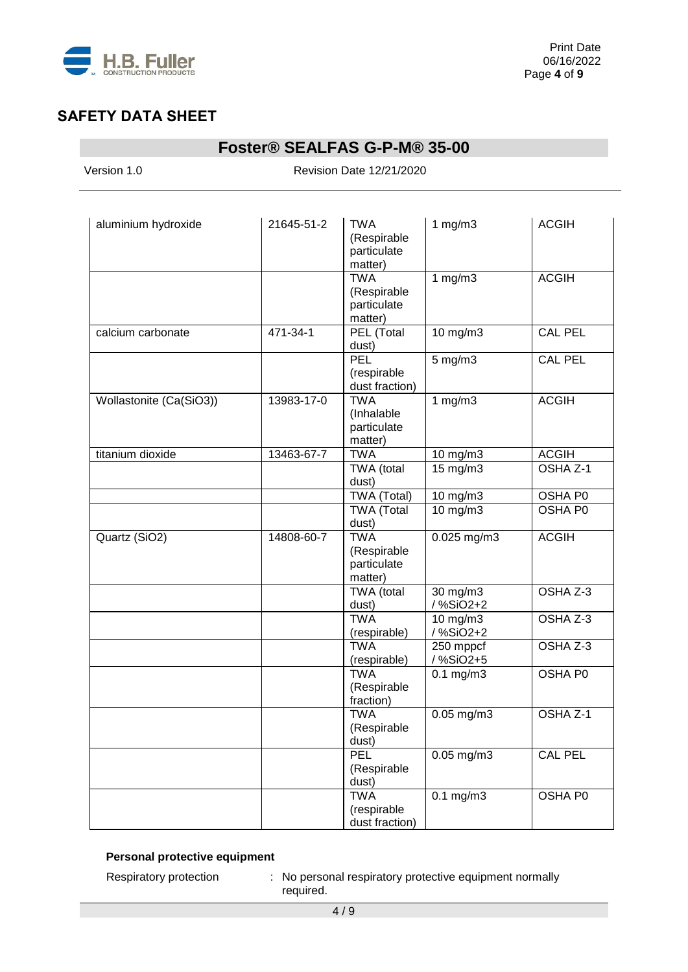

# **Foster® SEALFAS G-P-M® 35-00**

Version 1.0 Revision Date 12/21/2020

| aluminium hydroxide     | 21645-51-2 | <b>TWA</b><br>(Respirable<br>particulate<br>matter) | 1 $mg/m3$             | <b>ACGIH</b>        |
|-------------------------|------------|-----------------------------------------------------|-----------------------|---------------------|
|                         |            | <b>TWA</b><br>(Respirable<br>particulate<br>matter) | 1 $mg/m3$             | <b>ACGIH</b>        |
| calcium carbonate       | 471-34-1   | PEL (Total<br>dust)                                 | 10 mg/m3              | <b>CAL PEL</b>      |
|                         |            | PEL<br>(respirable<br>dust fraction)                | 5 mg/m3               | <b>CAL PEL</b>      |
| Wollastonite (Ca(SiO3)) | 13983-17-0 | <b>TWA</b><br>(Inhalable<br>particulate<br>matter)  | 1 $mg/m3$             | <b>ACGIH</b>        |
| titanium dioxide        | 13463-67-7 | <b>TWA</b>                                          | 10 mg/m3              | <b>ACGIH</b>        |
|                         |            | TWA (total<br>dust)                                 | 15 mg/m3              | OSHA <sub>Z-1</sub> |
|                         |            | TWA (Total)                                         | 10 mg/m3              | OSHA P0             |
|                         |            | <b>TWA</b> (Total<br>dust)                          | 10 mg/m3              | OSHA P0             |
| Quartz (SiO2)           | 14808-60-7 | <b>TWA</b><br>(Respirable<br>particulate<br>matter) | $0.025$ mg/m $3$      | <b>ACGIH</b>        |
|                         |            | TWA (total<br>dust)                                 | 30 mg/m3<br>/%SiO2+2  | OSHA Z-3            |
|                         |            | <b>TWA</b><br>(respirable)                          | 10 mg/m3<br>/%SiO2+2  | OSHA Z-3            |
|                         |            | <b>TWA</b><br>(respirable)                          | 250 mppcf<br>/%SiO2+5 | OSHA Z-3            |
|                         |            | <b>TWA</b><br>(Respirable<br>fraction)              | $0.1$ mg/m $3$        | OSHA P0             |
|                         |            | <b>TWA</b><br>(Respirable<br>dust)                  | $0.05$ mg/m3          | OSHA Z-1            |
|                         |            | PEL<br>(Respirable<br>dust)                         | $0.05$ mg/m $3$       | CAL PEL             |
|                         |            | <b>TWA</b><br>(respirable<br>dust fraction)         | $0.1 \text{ mg/m}$    | OSHA P0             |

### **Personal protective equipment**

Respiratory protection : No personal respiratory protective equipment normally required.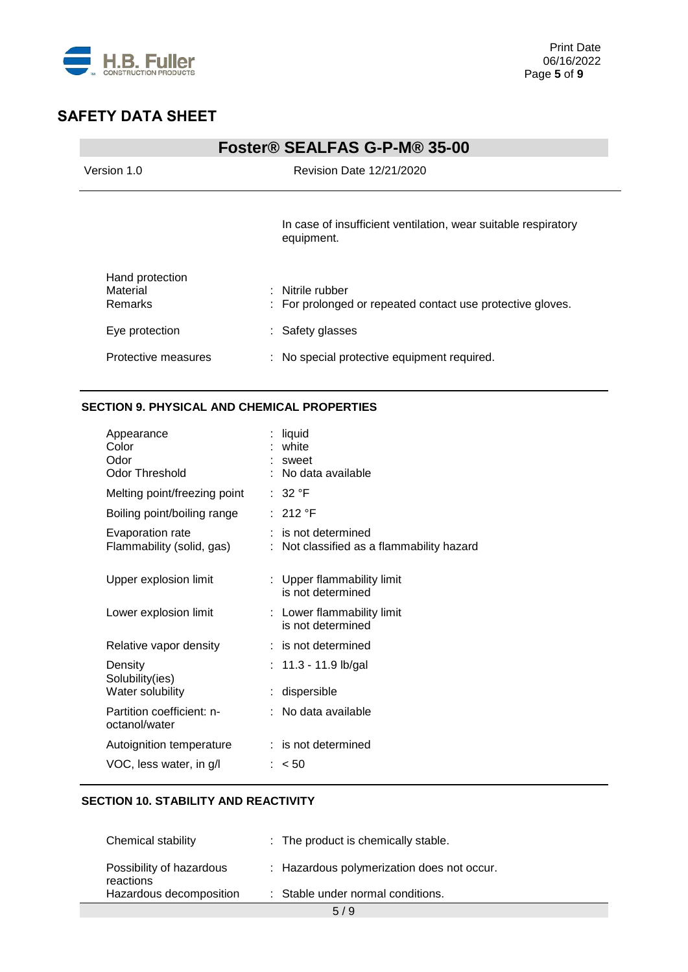

|                                        | Foster® SEALFAS G-P-M® 35-00                                                   |
|----------------------------------------|--------------------------------------------------------------------------------|
| Version 1.0                            | Revision Date 12/21/2020                                                       |
|                                        | In case of insufficient ventilation, wear suitable respiratory<br>equipment.   |
| Hand protection<br>Material<br>Remarks | : Nitrile rubber<br>: For prolonged or repeated contact use protective gloves. |
| Eye protection                         | : Safety glasses                                                               |
| Protective measures                    | : No special protective equipment required.                                    |

### **SECTION 9. PHYSICAL AND CHEMICAL PROPERTIES**

| liquid<br>white<br>sweet<br>: No data available                |
|----------------------------------------------------------------|
| :32 °F                                                         |
| : 212 °F                                                       |
| : is not determined<br>Not classified as a flammability hazard |
| : Upper flammability limit<br>is not determined                |
| : Lower flammability limit<br>is not determined                |
| : is not determined                                            |
| : 11.3 - 11.9 lb/gal                                           |
| dispersible                                                    |
| No data available                                              |
| $:$ is not determined                                          |
| < 50                                                           |
|                                                                |

### **SECTION 10. STABILITY AND REACTIVITY**

|                                      | 5/9                                        |
|--------------------------------------|--------------------------------------------|
| reactions<br>Hazardous decomposition | : Stable under normal conditions.          |
| Possibility of hazardous             | : Hazardous polymerization does not occur. |
| Chemical stability                   | : The product is chemically stable.        |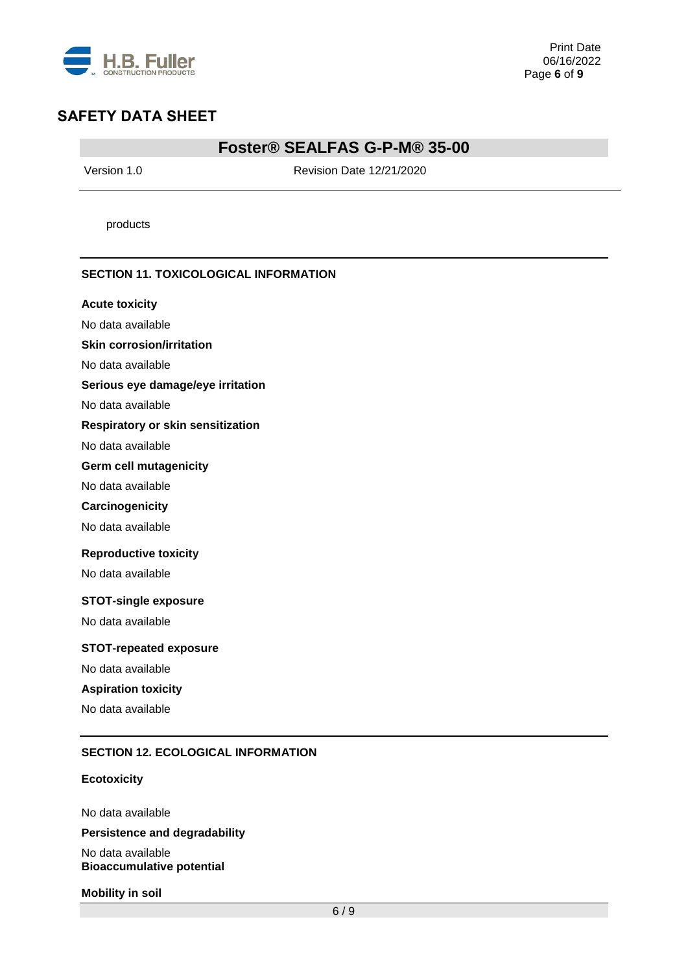

### **Foster® SEALFAS G-P-M® 35-00**

Version 1.0 Revision Date 12/21/2020

products

#### **SECTION 11. TOXICOLOGICAL INFORMATION**

#### **Acute toxicity**

No data available

#### **Skin corrosion/irritation**

No data available

#### **Serious eye damage/eye irritation**

No data available

#### **Respiratory or skin sensitization**

No data available

#### **Germ cell mutagenicity**

No data available

#### **Carcinogenicity**

No data available

#### **Reproductive toxicity**

No data available

#### **STOT-single exposure**

No data available

#### **STOT-repeated exposure**

No data available

### **Aspiration toxicity**

No data available

#### **SECTION 12. ECOLOGICAL INFORMATION**

#### **Ecotoxicity**

No data available

#### **Persistence and degradability**

No data available **Bioaccumulative potential**

#### **Mobility in soil**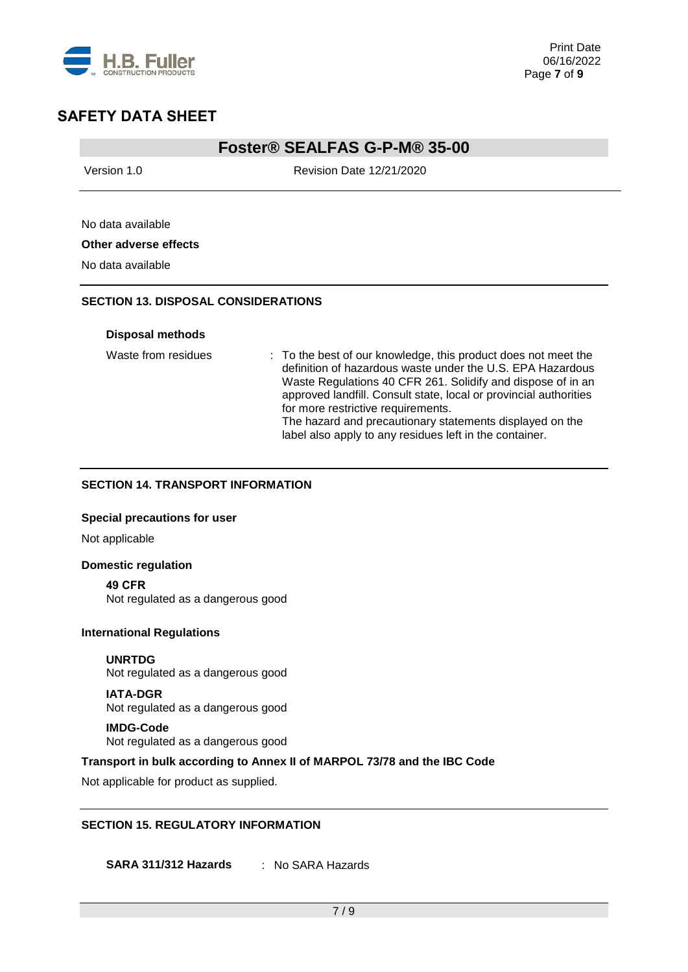

### **Foster® SEALFAS G-P-M® 35-00**

Version 1.0 Revision Date 12/21/2020

### No data available **Other adverse effects**

No data available

### **SECTION 13. DISPOSAL CONSIDERATIONS**

#### **Disposal methods**

Waste from residues : To the best of our knowledge, this product does not meet the definition of hazardous waste under the U.S. EPA Hazardous Waste Regulations 40 CFR 261. Solidify and dispose of in an approved landfill. Consult state, local or provincial authorities for more restrictive requirements. The hazard and precautionary statements displayed on the label also apply to any residues left in the container.

### **SECTION 14. TRANSPORT INFORMATION**

#### **Special precautions for user**

Not applicable

### **Domestic regulation**

**49 CFR** Not regulated as a dangerous good

#### **International Regulations**

**UNRTDG** Not regulated as a dangerous good

**IATA-DGR** Not regulated as a dangerous good

#### **IMDG-Code** Not regulated as a dangerous good

#### **Transport in bulk according to Annex II of MARPOL 73/78 and the IBC Code**

Not applicable for product as supplied.

#### **SECTION 15. REGULATORY INFORMATION**

**SARA 311/312 Hazards** : No SARA Hazards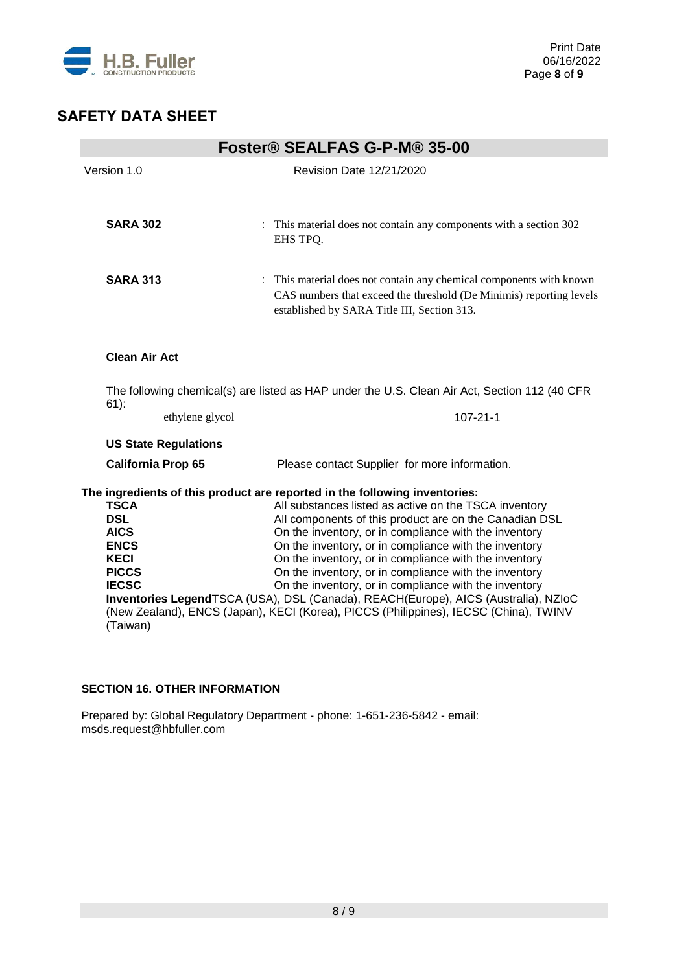

| Foster <sup>®</sup> SEALFAS G-P-M® 35-00                                                                           |                                                                                                                                                                                                                                                                                                                                                                                                                                                                                                                                                                                                                                                                          |
|--------------------------------------------------------------------------------------------------------------------|--------------------------------------------------------------------------------------------------------------------------------------------------------------------------------------------------------------------------------------------------------------------------------------------------------------------------------------------------------------------------------------------------------------------------------------------------------------------------------------------------------------------------------------------------------------------------------------------------------------------------------------------------------------------------|
| Version 1.0                                                                                                        | <b>Revision Date 12/21/2020</b>                                                                                                                                                                                                                                                                                                                                                                                                                                                                                                                                                                                                                                          |
| <b>SARA 302</b>                                                                                                    | : This material does not contain any components with a section 302<br>EHS TPO.                                                                                                                                                                                                                                                                                                                                                                                                                                                                                                                                                                                           |
| <b>SARA 313</b>                                                                                                    | : This material does not contain any chemical components with known<br>CAS numbers that exceed the threshold (De Minimis) reporting levels<br>established by SARA Title III, Section 313.                                                                                                                                                                                                                                                                                                                                                                                                                                                                                |
| <b>Clean Air Act</b>                                                                                               |                                                                                                                                                                                                                                                                                                                                                                                                                                                                                                                                                                                                                                                                          |
| $61)$ :                                                                                                            | The following chemical(s) are listed as HAP under the U.S. Clean Air Act, Section 112 (40 CFR                                                                                                                                                                                                                                                                                                                                                                                                                                                                                                                                                                            |
| ethylene glycol                                                                                                    | $107 - 21 - 1$                                                                                                                                                                                                                                                                                                                                                                                                                                                                                                                                                                                                                                                           |
| <b>US State Regulations</b>                                                                                        |                                                                                                                                                                                                                                                                                                                                                                                                                                                                                                                                                                                                                                                                          |
| <b>California Prop 65</b>                                                                                          | Please contact Supplier for more information.                                                                                                                                                                                                                                                                                                                                                                                                                                                                                                                                                                                                                            |
| <b>TSCA</b><br><b>DSL</b><br><b>AICS</b><br><b>ENCS</b><br><b>KECI</b><br><b>PICCS</b><br><b>IECSC</b><br>(Taiwan) | The ingredients of this product are reported in the following inventories:<br>All substances listed as active on the TSCA inventory<br>All components of this product are on the Canadian DSL<br>On the inventory, or in compliance with the inventory<br>On the inventory, or in compliance with the inventory<br>On the inventory, or in compliance with the inventory<br>On the inventory, or in compliance with the inventory<br>On the inventory, or in compliance with the inventory<br>Inventories LegendTSCA (USA), DSL (Canada), REACH(Europe), AICS (Australia), NZIoC<br>(New Zealand), ENCS (Japan), KECI (Korea), PICCS (Philippines), IECSC (China), TWINV |

### **SECTION 16. OTHER INFORMATION**

Prepared by: Global Regulatory Department - phone: 1-651-236-5842 - email: msds.request@hbfuller.com